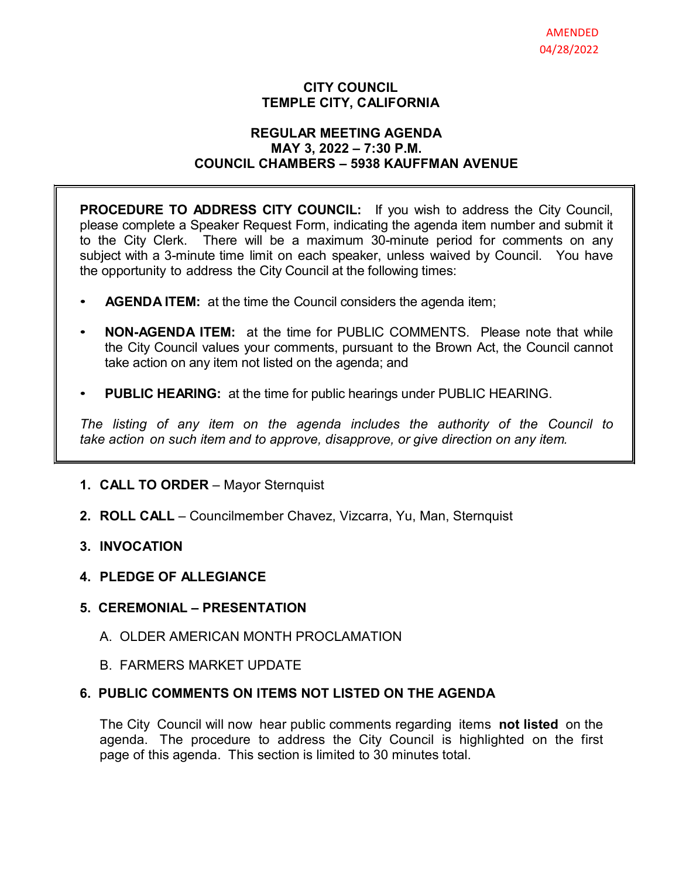### **CITY COUNCIL TEMPLE CITY, CALIFORNIA**

#### **REGULAR MEETING AGENDA MAY 3, 2022 – 7:30 P.M. COUNCIL CHAMBERS – 5938 KAUFFMAN AVENUE**

**PROCEDURE TO ADDRESS CITY COUNCIL:** If you wish to address the City Council, please complete a Speaker Request Form, indicating the agenda item number and submit it to the City Clerk. There will be a maximum 30-minute period for comments on any subject with a 3-minute time limit on each speaker, unless waived by Council. You have the opportunity to address the City Council at the following times:

- **AGENDA ITEM:** at the time the Council considers the agenda item;
- **NON-AGENDA ITEM:** at the time for PUBLIC COMMENTS. Please note that while the City Council values your comments, pursuant to the Brown Act, the Council cannot take action on any item not listed on the agenda; and
- **PUBLIC HEARING:** at the time for public hearings under PUBLIC HEARING.

*The listing of any item on the agenda includes the authority of the Council to take action on such item and to approve, disapprove, or give direction on any item.*

### **1. CALL TO ORDER** – Mayor Sternquist

**2. ROLL CALL** – Councilmember Chavez, Vizcarra, Yu, Man, Sternquist

### **3. INVOCATION**

**4. PLEDGE OF ALLEGIANCE**

### **5. CEREMONIAL – PRESENTATION**

- A. OLDER AMERICAN MONTH PROCLAMATION
- B. FARMERS MARKET UPDATE

# **6. PUBLIC COMMENTS ON ITEMS NOT LISTED ON THE AGENDA**

The City Council will now hear public comments regarding items **not listed** on the agenda. The procedure to address the City Council is highlighted on the first page of this agenda. This section is limited to 30 minutes total.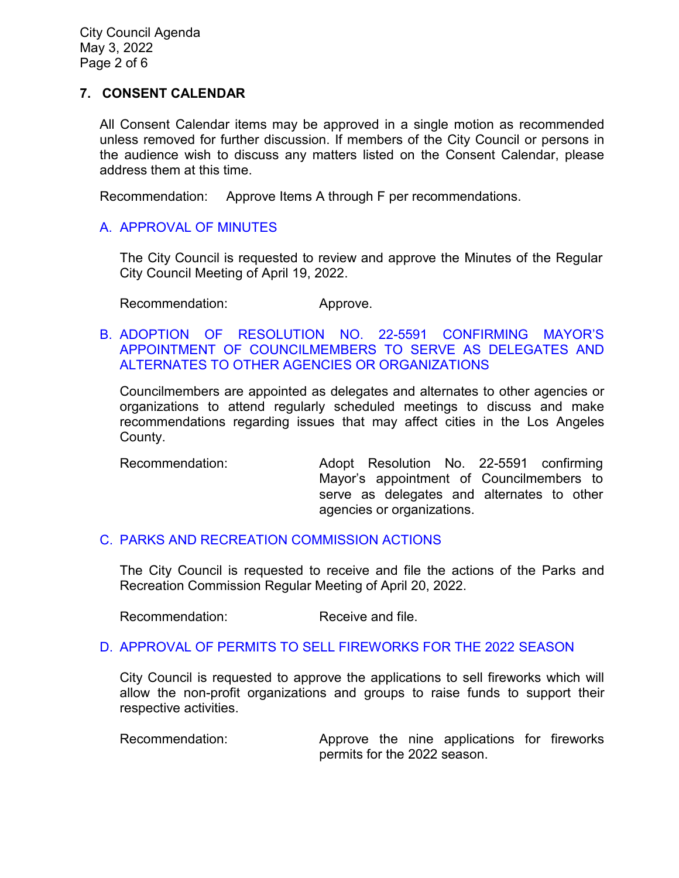City Council Agenda May 3, 2022 Page 2 of 6

### **7. CONSENT CALENDAR**

All Consent Calendar items may be approved in a single motion as recommended unless removed for further discussion. If members of the City Council or persons in the audience wish to discuss any matters listed on the Consent Calendar, please address them at this time.

Recommendation: Approve Items A through F per recommendations.

## [A. APPROVAL OF MINUTES](https://www.ci.temple-city.ca.us/DocumentCenter/View/17767/7A_CCM---2022-04-19)

The City Council is requested to review and approve the Minutes of the Regular City Council Meeting of April 19, 2022.

Recommendation: Approve.

### B. [ADOPTION OF RESOLUTION NO. 22-5591 CONFIRMING MAYOR'S](https://www.ci.temple-city.ca.us/DocumentCenter/View/17774/7B_Mayor-Appointment---Staff-Report-April-2022-w-attachments)  [APPOINTMENT OF COUNCILMEMBERS TO SERVE AS DELEGATES AND](https://www.ci.temple-city.ca.us/DocumentCenter/View/17774/7B_Mayor-Appointment---Staff-Report-April-2022-w-attachments)  [ALTERNATES TO OTHER AGENCIES OR ORGANIZATIONS](https://www.ci.temple-city.ca.us/DocumentCenter/View/17774/7B_Mayor-Appointment---Staff-Report-April-2022-w-attachments)

Councilmembers are appointed as delegates and alternates to other agencies or organizations to attend regularly scheduled meetings to discuss and make recommendations regarding issues that may affect cities in the Los Angeles County.

Recommendation: Adopt Resolution No. 22-5591 confirming Mayor's appointment of Councilmembers to serve as delegates and alternates to other agencies or organizations.

### C. [PARKS AND RECREATION COMMISSION ACTIONS](https://www.ci.temple-city.ca.us/DocumentCenter/View/17768/7C_PRC-Regular-Meeting-Actions_Staff-Report-2022-5-3_v3)

The City Council is requested to receive and file the actions of the Parks and Recreation Commission Regular Meeting of April 20, 2022.

Recommendation: Receive and file.

### D. [APPROVAL OF PERMITS TO SELL FIREWORKS FOR THE 2022 SEASON](https://www.ci.temple-city.ca.us/DocumentCenter/View/17769/7D_Approval-of-Permits-to-Sell-Fireworks-for-the-2022-Season_Staff-Report_sr-edits-w-attachments)

City Council is requested to approve the applications to sell fireworks which will allow the non-profit organizations and groups to raise funds to support their respective activities.

Recommendation: Approve the nine applications for fireworks permits for the 2022 season.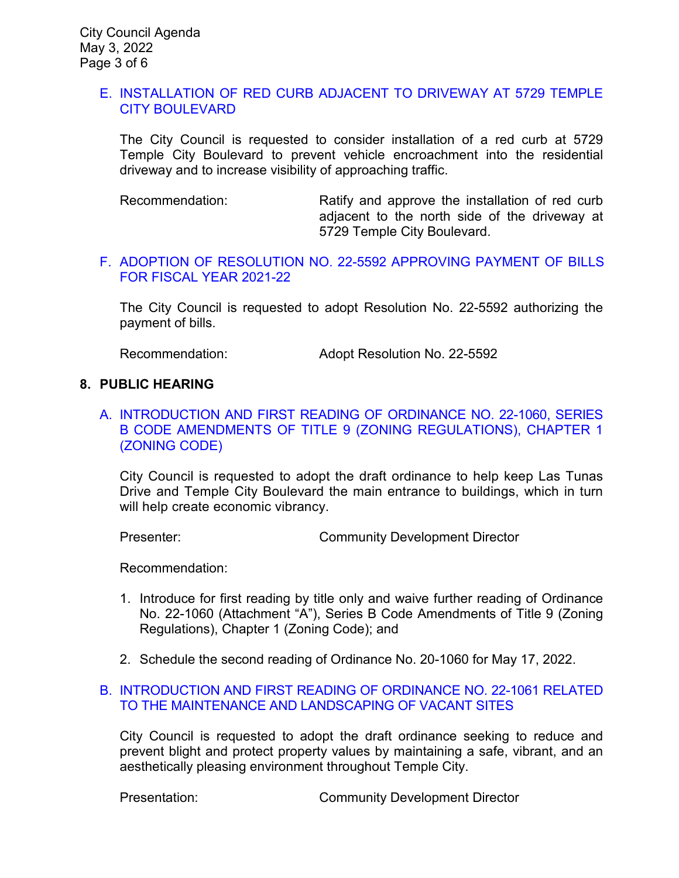### E. [INSTALLATION OF RED CURB ADJACENT TO DRIVEWAY AT 5729 TEMPLE](https://www.ci.temple-city.ca.us/DocumentCenter/View/17770/7E_Red-Curb-Installation---5729-Temple-City-Blvd---Staff-Report)  [CITY BOULEVARD](https://www.ci.temple-city.ca.us/DocumentCenter/View/17770/7E_Red-Curb-Installation---5729-Temple-City-Blvd---Staff-Report)

The City Council is requested to consider installation of a red curb at 5729 Temple City Boulevard to prevent vehicle encroachment into the residential driveway and to increase visibility of approaching traffic.

Recommendation: Ratify and approve the installation of red curb adjacent to the north side of the driveway at 5729 Temple City Boulevard.

#### [F. ADOPTION OF RESOLUTION NO. 22-5592 APPROVING PAYMENT OF BILLS](https://www.ci.temple-city.ca.us/DocumentCenter/View/17772/7G_Council-Warrant_Reso-No-22-5592--FY-2021-2022)  [FOR FISCAL YEAR 2021-22](https://www.ci.temple-city.ca.us/DocumentCenter/View/17772/7G_Council-Warrant_Reso-No-22-5592--FY-2021-2022)

The City Council is requested to adopt Resolution No. 22-5592 authorizing the payment of bills.

Recommendation: Adopt Resolution No. 22-5592

#### **8. PUBLIC HEARING**

### A. [INTRODUCTION AND FIRST READING OF ORDINANCE NO. 22-1060, SERIES](https://www.ci.temple-city.ca.us/DocumentCenter/View/17763/8A_Series-B-Code-Amendment_Staff-Report_v1-w-attachments)  [B CODE AMENDMENTS OF TITLE 9 \(ZONING REGULATIONS\), CHAPTER 1](https://www.ci.temple-city.ca.us/DocumentCenter/View/17763/8A_Series-B-Code-Amendment_Staff-Report_v1-w-attachments)  [\(ZONING CODE\)](https://www.ci.temple-city.ca.us/DocumentCenter/View/17763/8A_Series-B-Code-Amendment_Staff-Report_v1-w-attachments)

City Council is requested to adopt the draft ordinance to help keep Las Tunas Drive and Temple City Boulevard the main entrance to buildings, which in turn will help create economic vibrancy.

Presenter: Community Development Director

Recommendation:

- 1. Introduce for first reading by title only and waive further reading of Ordinance No. 22-1060 (Attachment "A"), Series B Code Amendments of Title 9 (Zoning Regulations), Chapter 1 (Zoning Code); and
- 2. Schedule the second reading of Ordinance No. 20-1060 for May 17, 2022.

#### B. [INTRODUCTION AND FIRST READING OF ORDINANCE NO. 22-1061 RELATED](https://www.ci.temple-city.ca.us/DocumentCenter/View/17762/8B_Vacant-Property-Ordinance_Staff-Report-v1-w-attachments)  [TO THE MAINTENANCE AND LANDSCAPING OF VACANT SITES](https://www.ci.temple-city.ca.us/DocumentCenter/View/17762/8B_Vacant-Property-Ordinance_Staff-Report-v1-w-attachments)

City Council is requested to adopt the draft ordinance seeking to reduce and prevent blight and protect property values by maintaining a safe, vibrant, and an aesthetically pleasing environment throughout Temple City.

Presentation: Community Development Director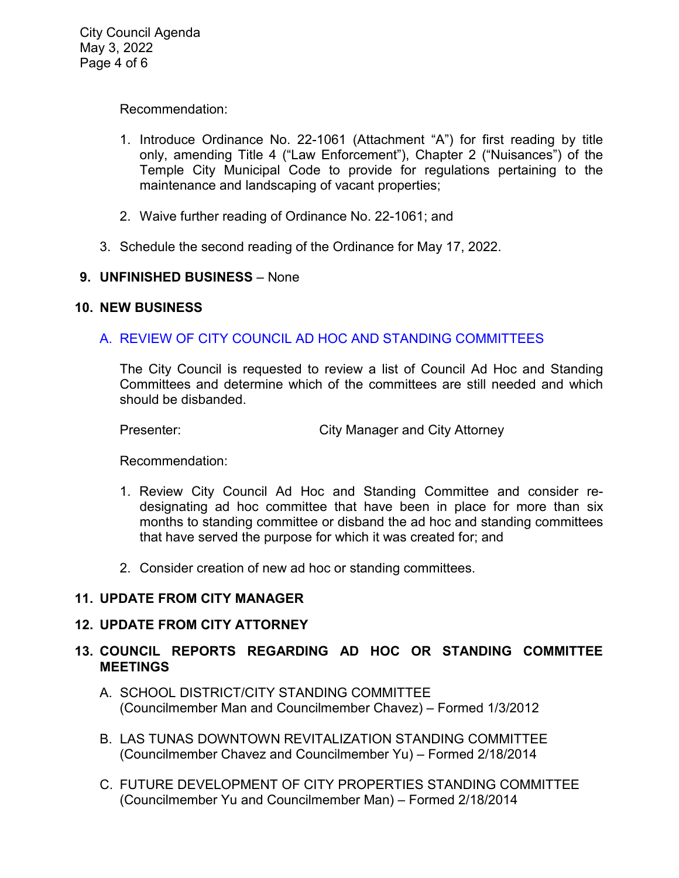Recommendation:

- 1. Introduce Ordinance No. 22-1061 (Attachment "A") for first reading by title only, amending Title 4 ("Law Enforcement"), Chapter 2 ("Nuisances") of the Temple City Municipal Code to provide for regulations pertaining to the maintenance and landscaping of vacant properties;
- 2. Waive further reading of Ordinance No. 22-1061; and
- 3. Schedule the second reading of the Ordinance for May 17, 2022.

## **9. UNFINISHED BUSINESS** – None

## **10. NEW BUSINESS**

## A. REVIEW OF CITY COUNCIL AD HOC AND STANDING [COMMITTEES](https://www.ci.temple-city.ca.us/DocumentCenter/View/17765/10B_City-Council-Ad-Hoc-and-Standing-Committees-Reivew_Staff-Report)

The City Council is requested to review a list of Council Ad Hoc and Standing Committees and determine which of the committees are still needed and which should be disbanded.

Presenter: City Manager and City Attorney

Recommendation:

- 1. Review City Council Ad Hoc and Standing Committee and consider redesignating ad hoc committee that have been in place for more than six months to standing committee or disband the ad hoc and standing committees that have served the purpose for which it was created for; and
- 2. Consider creation of new ad hoc or standing committees.

## **11. UPDATE FROM CITY MANAGER**

### **12. UPDATE FROM CITY ATTORNEY**

## **13. COUNCIL REPORTS REGARDING AD HOC OR STANDING COMMITTEE MEETINGS**

- A. SCHOOL DISTRICT/CITY STANDING COMMITTEE (Councilmember Man and Councilmember Chavez) – Formed 1/3/2012
- B. LAS TUNAS DOWNTOWN REVITALIZATION STANDING COMMITTEE (Councilmember Chavez and Councilmember Yu) – Formed 2/18/2014
- C. FUTURE DEVELOPMENT OF CITY PROPERTIES STANDING COMMITTEE (Councilmember Yu and Councilmember Man) – Formed 2/18/2014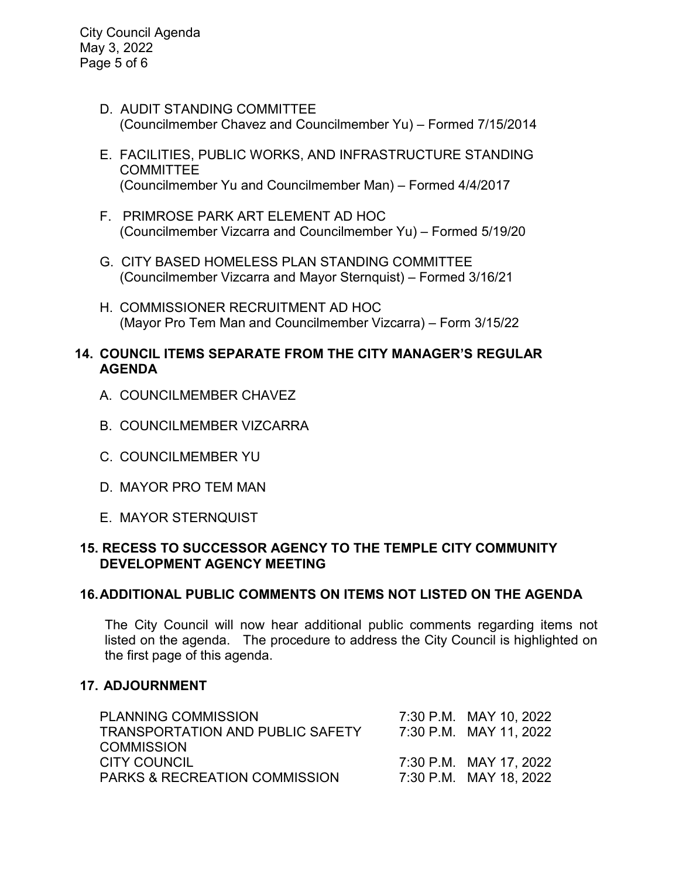City Council Agenda May 3, 2022 Page 5 of 6

- D. AUDIT STANDING COMMITTEE (Councilmember Chavez and Councilmember Yu) – Formed 7/15/2014
- E. FACILITIES, PUBLIC WORKS, AND INFRASTRUCTURE STANDING COMMITTEE (Councilmember Yu and Councilmember Man) – Formed 4/4/2017
- F. PRIMROSE PARK ART ELEMENT AD HOC (Councilmember Vizcarra and Councilmember Yu) – Formed 5/19/20
- G. CITY BASED HOMELESS PLAN STANDING COMMITTEE (Councilmember Vizcarra and Mayor Sternquist) – Formed 3/16/21
- H. COMMISSIONER RECRUITMENT AD HOC (Mayor Pro Tem Man and Councilmember Vizcarra) – Form 3/15/22

### **14. COUNCIL ITEMS SEPARATE FROM THE CITY MANAGER'S REGULAR AGENDA**

- A. COUNCILMEMBER CHAVEZ
- B. COUNCILMEMBER VIZCARRA
- C. COUNCILMEMBER YU
- D. MAYOR PRO TEM MAN
- E. MAYOR STERNQUIST

## **15. RECESS TO SUCCESSOR AGENCY TO THE TEMPLE CITY COMMUNITY DEVELOPMENT AGENCY MEETING**

### **16.ADDITIONAL PUBLIC COMMENTS ON ITEMS NOT LISTED ON THE AGENDA**

The City Council will now hear additional public comments regarding items not listed on the agenda. The procedure to address the City Council is highlighted on the first page of this agenda.

### **17. ADJOURNMENT**

| <b>PLANNING COMMISSION</b>               | 7:30 P.M. MAY 10, 2022 |
|------------------------------------------|------------------------|
| <b>TRANSPORTATION AND PUBLIC SAFETY</b>  | 7:30 P.M. MAY 11, 2022 |
| <b>COMMISSION</b>                        |                        |
| CITY COUNCIL                             | 7:30 P.M. MAY 17, 2022 |
| <b>PARKS &amp; RECREATION COMMISSION</b> | 7:30 P.M. MAY 18, 2022 |